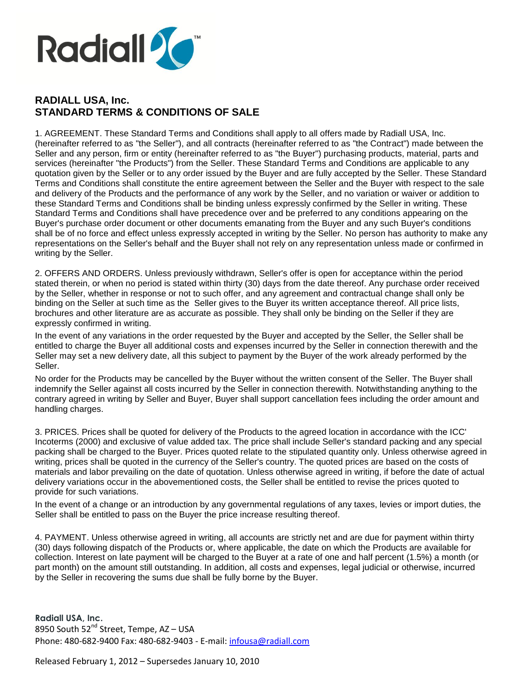

## **RADIALL USA, Inc. STANDARD TERMS & CONDITIONS OF SALE**

1. AGREEMENT. These Standard Terms and Conditions shall apply to all offers made by Radiall USA, Inc. (hereinafter referred to as "the Seller"), and all contracts (hereinafter referred to as "the Contract") made between the Seller and any person, firm or entity (hereinafter referred to as "the Buyer") purchasing products, material, parts and services (hereinafter "the Products") from the Seller. These Standard Terms and Conditions are applicable to any quotation given by the Seller or to any order issued by the Buyer and are fully accepted by the Seller. These Standard Terms and Conditions shall constitute the entire agreement between the Seller and the Buyer with respect to the sale and delivery of the Products and the performance of any work by the Seller, and no variation or waiver or addition to these Standard Terms and Conditions shall be binding unless expressly confirmed by the Seller in writing. These Standard Terms and Conditions shall have precedence over and be preferred to any conditions appearing on the Buyer's purchase order document or other documents emanating from the Buyer and any such Buyer's conditions shall be of no force and effect unless expressly accepted in writing by the Seller. No person has authority to make any representations on the Seller's behalf and the Buyer shall not rely on any representation unless made or confirmed in writing by the Seller.

2. OFFERS AND ORDERS. Unless previously withdrawn, Seller's offer is open for acceptance within the period stated therein, or when no period is stated within thirty (30) days from the date thereof. Any purchase order received by the Seller, whether in response or not to such offer, and any agreement and contractual change shall only be binding on the Seller at such time as the Seller gives to the Buyer its written acceptance thereof. All price lists, brochures and other literature are as accurate as possible. They shall only be binding on the Seller if they are expressly confirmed in writing.

In the event of any variations in the order requested by the Buyer and accepted by the Seller, the Seller shall be entitled to charge the Buyer all additional costs and expenses incurred by the Seller in connection therewith and the Seller may set a new delivery date, all this subject to payment by the Buyer of the work already performed by the Seller.

No order for the Products may be cancelled by the Buyer without the written consent of the Seller. The Buyer shall indemnify the Seller against all costs incurred by the Seller in connection therewith. Notwithstanding anything to the contrary agreed in writing by Seller and Buyer, Buyer shall support cancellation fees including the order amount and handling charges.

3. PRICES. Prices shall be quoted for delivery of the Products to the agreed location in accordance with the ICC' Incoterms (2000) and exclusive of value added tax. The price shall include Seller's standard packing and any special packing shall be charged to the Buyer. Prices quoted relate to the stipulated quantity only. Unless otherwise agreed in writing, prices shall be quoted in the currency of the Seller's country. The quoted prices are based on the costs of materials and labor prevailing on the date of quotation. Unless otherwise agreed in writing, if before the date of actual delivery variations occur in the abovementioned costs, the Seller shall be entitled to revise the prices quoted to provide for such variations.

In the event of a change or an introduction by any governmental regulations of any taxes, levies or import duties, the Seller shall be entitled to pass on the Buyer the price increase resulting thereof.

4. PAYMENT. Unless otherwise agreed in writing, all accounts are strictly net and are due for payment within thirty (30) days following dispatch of the Products or, where applicable, the date on which the Products are available for collection. Interest on late payment will be charged to the Buyer at a rate of one and half percent (1.5%) a month (or part month) on the amount still outstanding. In addition, all costs and expenses, legal judicial or otherwise, incurred by the Seller in recovering the sums due shall be fully borne by the Buyer.

**Radiall USA, Inc.** 8950 South 52<sup>nd</sup> Street, Tempe, AZ – USA Phone: 480-682-9400 Fax: 480-682-9403 - E-mail: infousa@radiall.com

Released February 1, 2012 – Supersedes January 10, 2010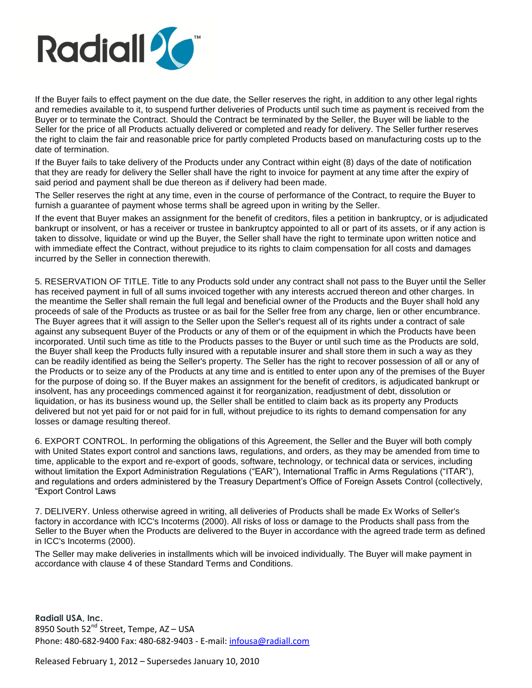

If the Buyer fails to effect payment on the due date, the Seller reserves the right, in addition to any other legal rights and remedies available to it, to suspend further deliveries of Products until such time as payment is received from the Buyer or to terminate the Contract. Should the Contract be terminated by the Seller, the Buyer will be liable to the Seller for the price of all Products actually delivered or completed and ready for delivery. The Seller further reserves the right to claim the fair and reasonable price for partly completed Products based on manufacturing costs up to the date of termination.

If the Buyer fails to take delivery of the Products under any Contract within eight (8) days of the date of notification that they are ready for delivery the Seller shall have the right to invoice for payment at any time after the expiry of said period and payment shall be due thereon as if delivery had been made.

The Seller reserves the right at any time, even in the course of performance of the Contract, to require the Buyer to furnish a guarantee of payment whose terms shall be agreed upon in writing by the Seller.

If the event that Buyer makes an assignment for the benefit of creditors, files a petition in bankruptcy, or is adjudicated bankrupt or insolvent, or has a receiver or trustee in bankruptcy appointed to all or part of its assets, or if any action is taken to dissolve, liquidate or wind up the Buyer, the Seller shall have the right to terminate upon written notice and with immediate effect the Contract, without prejudice to its rights to claim compensation for all costs and damages incurred by the Seller in connection therewith.

5. RESERVATION OF TITLE. Title to any Products sold under any contract shall not pass to the Buyer until the Seller has received payment in full of all sums invoiced together with any interests accrued thereon and other charges. In the meantime the Seller shall remain the full legal and beneficial owner of the Products and the Buyer shall hold any proceeds of sale of the Products as trustee or as bail for the Seller free from any charge, lien or other encumbrance. The Buyer agrees that it will assign to the Seller upon the Seller's request all of its rights under a contract of sale against any subsequent Buyer of the Products or any of them or of the equipment in which the Products have been incorporated. Until such time as title to the Products passes to the Buyer or until such time as the Products are sold, the Buyer shall keep the Products fully insured with a reputable insurer and shall store them in such a way as they can be readily identified as being the Seller's property. The Seller has the right to recover possession of all or any of the Products or to seize any of the Products at any time and is entitled to enter upon any of the premises of the Buyer for the purpose of doing so. If the Buyer makes an assignment for the benefit of creditors, is adjudicated bankrupt or insolvent, has any proceedings commenced against it for reorganization, readjustment of debt, dissolution or liquidation, or has its business wound up, the Seller shall be entitled to claim back as its property any Products delivered but not yet paid for or not paid for in full, without prejudice to its rights to demand compensation for any losses or damage resulting thereof.

6. EXPORT CONTROL. In performing the obligations of this Agreement, the Seller and the Buyer will both comply with United States export control and sanctions laws, regulations, and orders, as they may be amended from time to time, applicable to the export and re-export of goods, software, technology, or technical data or services, including without limitation the Export Administration Regulations ("EAR"), International Traffic in Arms Regulations ("ITAR"), and regulations and orders administered by the Treasury Department's Office of Foreign Assets Control (collectively, "Export Control Laws

7. DELIVERY. Unless otherwise agreed in writing, all deliveries of Products shall be made Ex Works of Seller's factory in accordance with ICC's Incoterms (2000). All risks of loss or damage to the Products shall pass from the Seller to the Buyer when the Products are delivered to the Buyer in accordance with the agreed trade term as defined in ICC's Incoterms (2000).

The Seller may make deliveries in installments which will be invoiced individually. The Buyer will make payment in accordance with clause 4 of these Standard Terms and Conditions.

**Radiall USA, Inc.** 8950 South 52<sup>nd</sup> Street, Tempe, AZ – USA Phone: 480-682-9400 Fax: 480-682-9403 - E-mail: infousa@radiall.com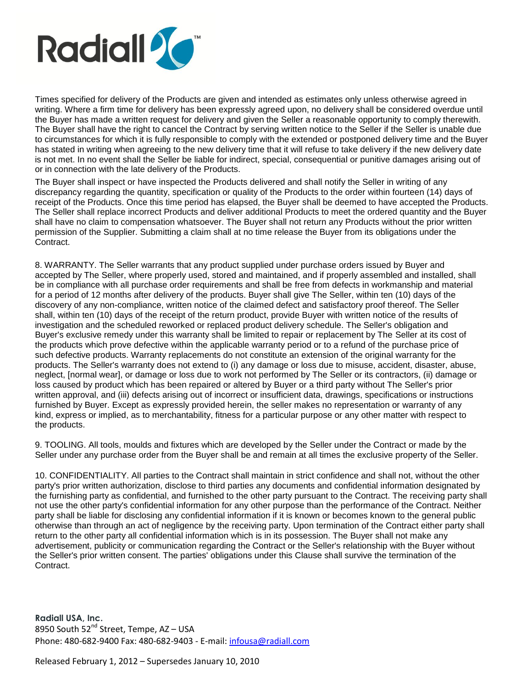

Times specified for delivery of the Products are given and intended as estimates only unless otherwise agreed in writing. Where a firm time for delivery has been expressly agreed upon, no delivery shall be considered overdue until the Buyer has made a written request for delivery and given the Seller a reasonable opportunity to comply therewith. The Buyer shall have the right to cancel the Contract by serving written notice to the Seller if the Seller is unable due to circumstances for which it is fully responsible to comply with the extended or postponed delivery time and the Buyer has stated in writing when agreeing to the new delivery time that it will refuse to take delivery if the new delivery date is not met. In no event shall the Seller be liable for indirect, special, consequential or punitive damages arising out of or in connection with the late delivery of the Products.

The Buyer shall inspect or have inspected the Products delivered and shall notify the Seller in writing of any discrepancy regarding the quantity, specification or quality of the Products to the order within fourteen (14) days of receipt of the Products. Once this time period has elapsed, the Buyer shall be deemed to have accepted the Products. The Seller shall replace incorrect Products and deliver additional Products to meet the ordered quantity and the Buyer shall have no claim to compensation whatsoever. The Buyer shall not return any Products without the prior written permission of the Supplier. Submitting a claim shall at no time release the Buyer from its obligations under the Contract.

8. WARRANTY. The Seller warrants that any product supplied under purchase orders issued by Buyer and accepted by The Seller, where properly used, stored and maintained, and if properly assembled and installed, shall be in compliance with all purchase order requirements and shall be free from defects in workmanship and material for a period of 12 months after delivery of the products. Buyer shall give The Seller, within ten (10) days of the discovery of any non-compliance, written notice of the claimed defect and satisfactory proof thereof. The Seller shall, within ten (10) days of the receipt of the return product, provide Buyer with written notice of the results of investigation and the scheduled reworked or replaced product delivery schedule. The Seller's obligation and Buyer's exclusive remedy under this warranty shall be limited to repair or replacement by The Seller at its cost of the products which prove defective within the applicable warranty period or to a refund of the purchase price of such defective products. Warranty replacements do not constitute an extension of the original warranty for the products. The Seller's warranty does not extend to (i) any damage or loss due to misuse, accident, disaster, abuse, neglect, [normal wear], or damage or loss due to work not performed by The Seller or its contractors, (ii) damage or loss caused by product which has been repaired or altered by Buyer or a third party without The Seller's prior written approval, and (iii) defects arising out of incorrect or insufficient data, drawings, specifications or instructions furnished by Buyer. Except as expressly provided herein, the seller makes no representation or warranty of any kind, express or implied, as to merchantability, fitness for a particular purpose or any other matter with respect to the products.

9. TOOLING. All tools, moulds and fixtures which are developed by the Seller under the Contract or made by the Seller under any purchase order from the Buyer shall be and remain at all times the exclusive property of the Seller.

10. CONFIDENTIALITY. All parties to the Contract shall maintain in strict confidence and shall not, without the other party's prior written authorization, disclose to third parties any documents and confidential information designated by the furnishing party as confidential, and furnished to the other party pursuant to the Contract. The receiving party shall not use the other party's confidential information for any other purpose than the performance of the Contract. Neither party shall be liable for disclosing any confidential information if it is known or becomes known to the general public otherwise than through an act of negligence by the receiving party. Upon termination of the Contract either party shall return to the other party all confidential information which is in its possession. The Buyer shall not make any advertisement, publicity or communication regarding the Contract or the Seller's relationship with the Buyer without the Seller's prior written consent. The parties' obligations under this Clause shall survive the termination of the Contract.

**Radiall USA, Inc.** 8950 South 52<sup>nd</sup> Street, Tempe, AZ – USA Phone: 480-682-9400 Fax: 480-682-9403 - E-mail: infousa@radiall.com